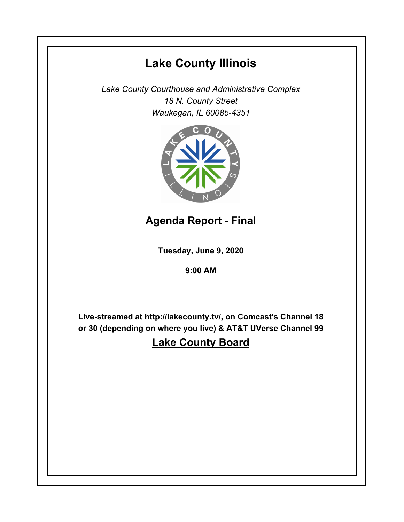# **Lake County Illinois**

*Lake County Courthouse and Administrative Complex 18 N. County Street Waukegan, IL 60085-4351*



# **Agenda Report - Final**

**Tuesday, June 9, 2020**

**9:00 AM**

**Live-streamed at http://lakecounty.tv/, on Comcast's Channel 18 or 30 (depending on where you live) & AT&T UVerse Channel 99**

# **Lake County Board**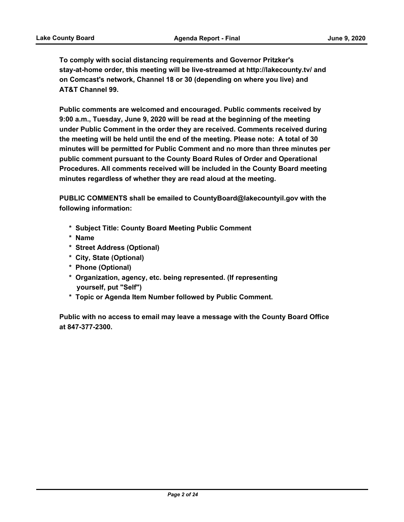**To comply with social distancing requirements and Governor Pritzker's stay-at-home order, this meeting will be live-streamed at http://lakecounty.tv/ and on Comcast's network, Channel 18 or 30 (depending on where you live) and AT&T Channel 99.**

**Public comments are welcomed and encouraged. Public comments received by 9:00 a.m., Tuesday, June 9, 2020 will be read at the beginning of the meeting under Public Comment in the order they are received. Comments received during the meeting will be held until the end of the meeting. Please note: A total of 30 minutes will be permitted for Public Comment and no more than three minutes per public comment pursuant to the County Board Rules of Order and Operational Procedures. All comments received will be included in the County Board meeting minutes regardless of whether they are read aloud at the meeting.**

**PUBLIC COMMENTS shall be emailed to CountyBoard@lakecountyil.gov with the following information:**

- **\* Subject Title: County Board Meeting Public Comment**
- **\* Name**
- **\* Street Address (Optional)**
- **\* City, State (Optional)**
- **\* Phone (Optional)**
- **\* Organization, agency, etc. being represented. (If representing yourself, put "Self")**
- **\* Topic or Agenda Item Number followed by Public Comment.**

**Public with no access to email may leave a message with the County Board Office at 847-377-2300.**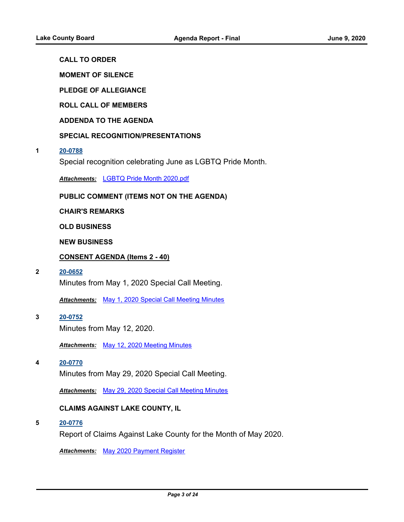# **CALL TO ORDER**

**MOMENT OF SILENCE**

**PLEDGE OF ALLEGIANCE**

**ROLL CALL OF MEMBERS**

**ADDENDA TO THE AGENDA**

## **SPECIAL RECOGNITION/PRESENTATIONS**

#### **1 [20-0788](http://lakecounty.legistar.com/gateway.aspx?m=l&id=/matter.aspx?key=19797)**

Special recognition celebrating June as LGBTQ Pride Month.

*Attachments:* [LGBTQ Pride Month 2020.pdf](http://lakecounty.legistar.com/gateway.aspx?M=F&ID=4ed36168-2fe8-48f5-a096-b8dbb57a0e33.pdf)

## **PUBLIC COMMENT (ITEMS NOT ON THE AGENDA)**

**CHAIR'S REMARKS**

**OLD BUSINESS**

**NEW BUSINESS**

## **CONSENT AGENDA (Items 2 - 40)**

#### **2 [20-0652](http://lakecounty.legistar.com/gateway.aspx?m=l&id=/matter.aspx?key=19661)**

Minutes from May 1, 2020 Special Call Meeting.

*Attachments:* [May 1, 2020 Special Call Meeting Minutes](http://lakecounty.legistar.com/gateway.aspx?M=F&ID=7908b41e-1810-4d11-be93-e499247fac2b.pdf)

**3 [20-0752](http://lakecounty.legistar.com/gateway.aspx?m=l&id=/matter.aspx?key=19761)** Minutes from May 12, 2020.

*Attachments:* [May 12, 2020 Meeting Minutes](http://lakecounty.legistar.com/gateway.aspx?M=F&ID=c22503b3-c549-439b-ab61-c6db2246ad92.pdf)

#### **4 [20-0770](http://lakecounty.legistar.com/gateway.aspx?m=l&id=/matter.aspx?key=19779)**

Minutes from May 29, 2020 Special Call Meeting.

*Attachments:* [May 29, 2020 Special Call Meeting Minutes](http://lakecounty.legistar.com/gateway.aspx?M=F&ID=c03e850e-71cb-40ff-b53d-6ebbd2b47b95.pdf)

## **CLAIMS AGAINST LAKE COUNTY, IL**

**5 [20-0776](http://lakecounty.legistar.com/gateway.aspx?m=l&id=/matter.aspx?key=19785)**

Report of Claims Against Lake County for the Month of May 2020.

*Attachments:* [May 2020 Payment Register](http://lakecounty.legistar.com/gateway.aspx?M=F&ID=8dd7375c-4198-48f6-b7a7-0b32f1d49cac.pdf)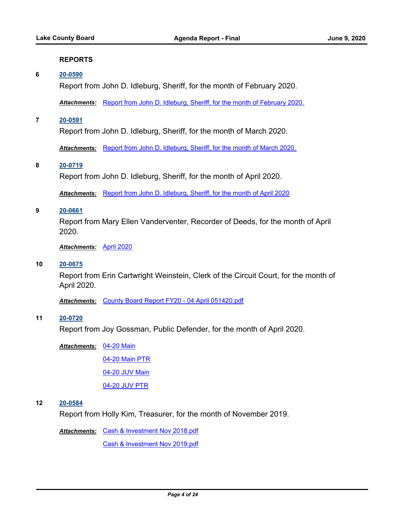#### **REPORTS**

## **6 [20-0590](http://lakecounty.legistar.com/gateway.aspx?m=l&id=/matter.aspx?key=19600)**

Report from John D. Idleburg, Sheriff, for the month of February 2020.

*Attachments:* [Report from John D. Idleburg, Sheriff, for the month of February 2020.](http://lakecounty.legistar.com/gateway.aspx?M=F&ID=c7782767-2713-4b6d-9f53-c7e2138a68d1.pdf)

**7 [20-0591](http://lakecounty.legistar.com/gateway.aspx?m=l&id=/matter.aspx?key=19601)**

Report from John D. Idleburg, Sheriff, for the month of March 2020.

*Attachments:* [Report from John D. Idleburg, Sheriff, for the month of March 2020.](http://lakecounty.legistar.com/gateway.aspx?M=F&ID=f24349b9-0713-425e-88d4-fff6592c3563.pdf)

#### **8 [20-0719](http://lakecounty.legistar.com/gateway.aspx?m=l&id=/matter.aspx?key=19727)**

Report from John D. Idleburg, Sheriff, for the month of April 2020.

*Attachments:* [Report from John D. Idleburg, Sheriff, for the month of April 2020](http://lakecounty.legistar.com/gateway.aspx?M=F&ID=832d9a89-ee3c-46bf-92ef-e938b4a555cf.pdf)

### **9 [20-0661](http://lakecounty.legistar.com/gateway.aspx?m=l&id=/matter.aspx?key=19670)**

Report from Mary Ellen Vanderventer, Recorder of Deeds, for the month of April 2020.

*Attachments:* [April 2020](http://lakecounty.legistar.com/gateway.aspx?M=F&ID=00cee5d9-46c9-481f-a87b-2ed4240eed08.pdf)

## **10 [20-0675](http://lakecounty.legistar.com/gateway.aspx?m=l&id=/matter.aspx?key=19682)**

Report from Erin Cartwright Weinstein, Clerk of the Circuit Court, for the month of April 2020.

*Attachments:* [County Board Report FY20 - 04 April 051420.pdf](http://lakecounty.legistar.com/gateway.aspx?M=F&ID=b7e9d9c2-452b-469c-9da7-ec953864c357.pdf)

#### **11 [20-0720](http://lakecounty.legistar.com/gateway.aspx?m=l&id=/matter.aspx?key=19728)**

Report from Joy Gossman, Public Defender, for the month of April 2020.

[04-20 Main](http://lakecounty.legistar.com/gateway.aspx?M=F&ID=57896c9e-391e-41cf-a97c-1dcb73fc51fe.pdf) *Attachments:*

[04-20 Main PTR](http://lakecounty.legistar.com/gateway.aspx?M=F&ID=f9355442-b4af-47d5-bc71-17fb8c7e9d48.pdf)

[04-20 JUV Main](http://lakecounty.legistar.com/gateway.aspx?M=F&ID=14948424-56db-432d-8076-433e8b0193de.pdf)

[04-20 JUV PTR](http://lakecounty.legistar.com/gateway.aspx?M=F&ID=28cac3a8-b3e4-47b7-893f-97009b698a93.pdf)

# **12 [20-0584](http://lakecounty.legistar.com/gateway.aspx?m=l&id=/matter.aspx?key=19594)**

Report from Holly Kim, Treasurer, for the month of November 2019.

Attachments: [Cash & Investment Nov 2018.pdf](http://lakecounty.legistar.com/gateway.aspx?M=F&ID=e8959789-2943-435d-b1e8-2755d5373769.pdf)

[Cash & Investment Nov 2019.pdf](http://lakecounty.legistar.com/gateway.aspx?M=F&ID=c35b3ab8-727f-41a6-b616-5b7cc8fb2512.pdf)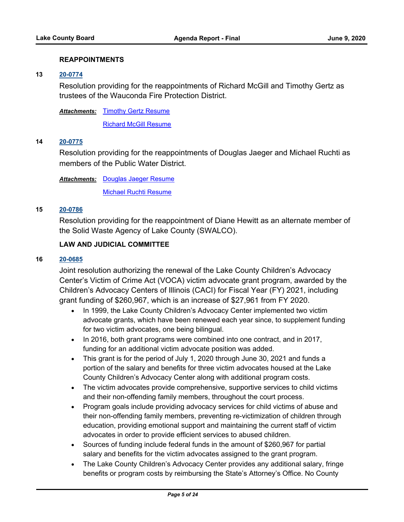## **REAPPOINTMENTS**

## **13 [20-0774](http://lakecounty.legistar.com/gateway.aspx?m=l&id=/matter.aspx?key=19783)**

Resolution providing for the reappointments of Richard McGill and Timothy Gertz as trustees of the Wauconda Fire Protection District.

Attachments: [Timothy Gertz Resume](http://lakecounty.legistar.com/gateway.aspx?M=F&ID=2b563d02-efad-4625-bb59-272d55c424f6.pdf)

**[Richard McGill Resume](http://lakecounty.legistar.com/gateway.aspx?M=F&ID=ae37381b-ef85-414e-98b8-015d08dc9392.pdf)** 

# **14 [20-0775](http://lakecounty.legistar.com/gateway.aspx?m=l&id=/matter.aspx?key=19784)**

Resolution providing for the reappointments of Douglas Jaeger and Michael Ruchti as members of the Public Water District.

Attachments: [Douglas Jaeger Resume](http://lakecounty.legistar.com/gateway.aspx?M=F&ID=4b9e689c-8317-4bd4-9dd8-ac46071a933b.pdf)

[Michael Ruchti Resume](http://lakecounty.legistar.com/gateway.aspx?M=F&ID=795ff4c6-b0ea-4658-a5e4-c6742b742845.pdf)

#### **15 [20-0786](http://lakecounty.legistar.com/gateway.aspx?m=l&id=/matter.aspx?key=19795)**

Resolution providing for the reappointment of Diane Hewitt as an alternate member of the Solid Waste Agency of Lake County (SWALCO).

# **LAW AND JUDICIAL COMMITTEE**

## **16 [20-0685](http://lakecounty.legistar.com/gateway.aspx?m=l&id=/matter.aspx?key=19692)**

Joint resolution authorizing the renewal of the Lake County Children's Advocacy Center's Victim of Crime Act (VOCA) victim advocate grant program, awarded by the Children's Advocacy Centers of Illinois (CACI) for Fiscal Year (FY) 2021, including grant funding of \$260,967, which is an increase of \$27,961 from FY 2020.

- · In 1999, the Lake County Children's Advocacy Center implemented two victim advocate grants, which have been renewed each year since, to supplement funding for two victim advocates, one being bilingual.
- · In 2016, both grant programs were combined into one contract, and in 2017, funding for an additional victim advocate position was added.
- · This grant is for the period of July 1, 2020 through June 30, 2021 and funds a portion of the salary and benefits for three victim advocates housed at the Lake County Children's Advocacy Center along with additional program costs.
- · The victim advocates provide comprehensive, supportive services to child victims and their non-offending family members, throughout the court process.
- · Program goals include providing advocacy services for child victims of abuse and their non-offending family members, preventing re-victimization of children through education, providing emotional support and maintaining the current staff of victim advocates in order to provide efficient services to abused children.
- · Sources of funding include federal funds in the amount of \$260,967 for partial salary and benefits for the victim advocates assigned to the grant program.
- · The Lake County Children's Advocacy Center provides any additional salary, fringe benefits or program costs by reimbursing the State's Attorney's Office. No County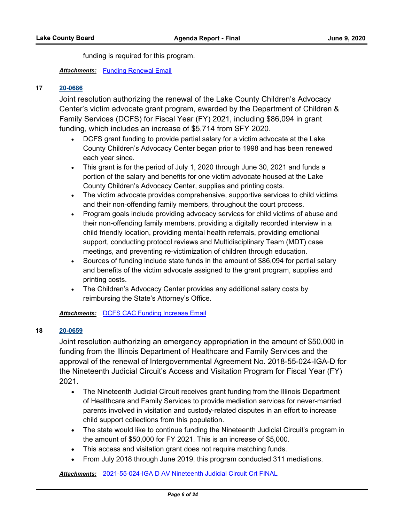funding is required for this program.

# *Attachments:* [Funding Renewal Email](http://lakecounty.legistar.com/gateway.aspx?M=F&ID=8c0a5e98-89b5-496a-85a0-c9850fe369d3.pdf)

## **17 [20-0686](http://lakecounty.legistar.com/gateway.aspx?m=l&id=/matter.aspx?key=19693)**

Joint resolution authorizing the renewal of the Lake County Children's Advocacy Center's victim advocate grant program, awarded by the Department of Children & Family Services (DCFS) for Fiscal Year (FY) 2021, including \$86,094 in grant funding, which includes an increase of \$5,714 from SFY 2020.

- · DCFS grant funding to provide partial salary for a victim advocate at the Lake County Children's Advocacy Center began prior to 1998 and has been renewed each year since.
- · This grant is for the period of July 1, 2020 through June 30, 2021 and funds a portion of the salary and benefits for one victim advocate housed at the Lake County Children's Advocacy Center, supplies and printing costs.
- · The victim advocate provides comprehensive, supportive services to child victims and their non-offending family members, throughout the court process.
- · Program goals include providing advocacy services for child victims of abuse and their non-offending family members, providing a digitally recorded interview in a child friendly location, providing mental health referrals, providing emotional support, conducting protocol reviews and Multidisciplinary Team (MDT) case meetings, and preventing re-victimization of children through education.
- · Sources of funding include state funds in the amount of \$86,094 for partial salary and benefits of the victim advocate assigned to the grant program, supplies and printing costs.
- · The Children's Advocacy Center provides any additional salary costs by reimbursing the State's Attorney's Office.

*Attachments:* [DCFS CAC Funding Increase Email](http://lakecounty.legistar.com/gateway.aspx?M=F&ID=d400f4b8-eb28-4f3a-aaf9-89c89aef4bad.pdf)

## **18 [20-0659](http://lakecounty.legistar.com/gateway.aspx?m=l&id=/matter.aspx?key=19668)**

Joint resolution authorizing an emergency appropriation in the amount of \$50,000 in funding from the Illinois Department of Healthcare and Family Services and the approval of the renewal of Intergovernmental Agreement No. 2018-55-024-IGA-D for the Nineteenth Judicial Circuit's Access and Visitation Program for Fiscal Year (FY) 2021.

- · The Nineteenth Judicial Circuit receives grant funding from the Illinois Department of Healthcare and Family Services to provide mediation services for never-married parents involved in visitation and custody-related disputes in an effort to increase child support collections from this population.
- · The state would like to continue funding the Nineteenth Judicial Circuit's program in the amount of \$50,000 for FY 2021. This is an increase of \$5,000.
- · This access and visitation grant does not require matching funds.
- · From July 2018 through June 2019, this program conducted 311 mediations.

*Attachments:* [2021-55-024-IGA D AV Nineteenth Judicial Circuit Crt FINAL](http://lakecounty.legistar.com/gateway.aspx?M=F&ID=4e1e8a90-8129-4e1d-a139-3aef29a9f3b8.pdf)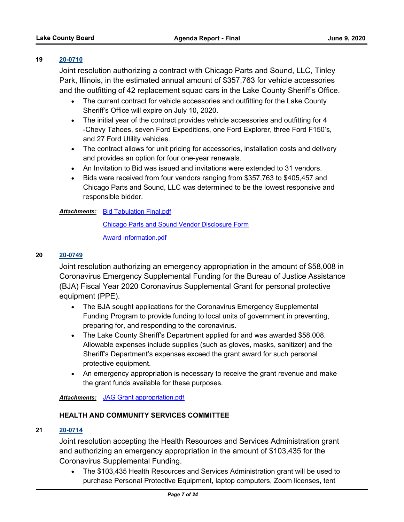## **19 [20-0710](http://lakecounty.legistar.com/gateway.aspx?m=l&id=/matter.aspx?key=19717)**

Joint resolution authorizing a contract with Chicago Parts and Sound, LLC, Tinley Park, Illinois, in the estimated annual amount of \$357,763 for vehicle accessories and the outfitting of 42 replacement squad cars in the Lake County Sheriff's Office.

- · The current contract for vehicle accessories and outfitting for the Lake County Sheriff's Office will expire on July 10, 2020.
- · The initial year of the contract provides vehicle accessories and outfitting for 4 -Chevy Tahoes, seven Ford Expeditions, one Ford Explorer, three Ford F150's, and 27 Ford Utility vehicles.
- · The contract allows for unit pricing for accessories, installation costs and delivery and provides an option for four one-year renewals.
- · An Invitation to Bid was issued and invitations were extended to 31 vendors.
- · Bids were received from four vendors ranging from \$357,763 to \$405,457 and Chicago Parts and Sound, LLC was determined to be the lowest responsive and responsible bidder.

## **Attachments:** [Bid Tabulation Final.pdf](http://lakecounty.legistar.com/gateway.aspx?M=F&ID=b75cfc1a-a467-462e-92f7-a31d1ec1be8f.pdf)

[Chicago Parts and Sound Vendor Disclosure Form](http://lakecounty.legistar.com/gateway.aspx?M=F&ID=1090bf02-2cb2-4da9-ad49-679788dc3aca.pdf)

[Award Information.pdf](http://lakecounty.legistar.com/gateway.aspx?M=F&ID=8ca69e8b-b523-4b6b-951e-f6039dab76ea.pdf)

## **20 [20-0749](http://lakecounty.legistar.com/gateway.aspx?m=l&id=/matter.aspx?key=19758)**

Joint resolution authorizing an emergency appropriation in the amount of \$58,008 in Coronavirus Emergency Supplemental Funding for the Bureau of Justice Assistance (BJA) Fiscal Year 2020 Coronavirus Supplemental Grant for personal protective equipment (PPE).

- · The BJA sought applications for the Coronavirus Emergency Supplemental Funding Program to provide funding to local units of government in preventing, preparing for, and responding to the coronavirus.
- · The Lake County Sheriff's Department applied for and was awarded \$58,008. Allowable expenses include supplies (such as gloves, masks, sanitizer) and the Sheriff's Department's expenses exceed the grant award for such personal protective equipment.
- · An emergency appropriation is necessary to receive the grant revenue and make the grant funds available for these purposes.

## *Attachments:* [JAG Grant appropriation.pdf](http://lakecounty.legistar.com/gateway.aspx?M=F&ID=b49cce2c-a718-4f77-b850-9a2e32d424c8.pdf)

## **HEALTH AND COMMUNITY SERVICES COMMITTEE**

## **21 [20-0714](http://lakecounty.legistar.com/gateway.aspx?m=l&id=/matter.aspx?key=19723)**

Joint resolution accepting the Health Resources and Services Administration grant and authorizing an emergency appropriation in the amount of \$103,435 for the Coronavirus Supplemental Funding.

· The \$103,435 Health Resources and Services Administration grant will be used to purchase Personal Protective Equipment, laptop computers, Zoom licenses, tent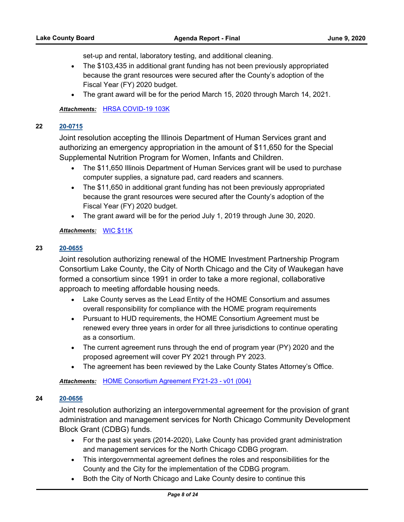set-up and rental, laboratory testing, and additional cleaning.

- · The \$103,435 in additional grant funding has not been previously appropriated because the grant resources were secured after the County's adoption of the Fiscal Year (FY) 2020 budget.
- · The grant award will be for the period March 15, 2020 through March 14, 2021.

## *Attachments:* [HRSA COVID-19 103K](http://lakecounty.legistar.com/gateway.aspx?M=F&ID=76314b5a-0ffd-47e4-926e-ce22d8abf676.pdf)

## **22 [20-0715](http://lakecounty.legistar.com/gateway.aspx?m=l&id=/matter.aspx?key=19724)**

Joint resolution accepting the Illinois Department of Human Services grant and authorizing an emergency appropriation in the amount of \$11,650 for the Special Supplemental Nutrition Program for Women, Infants and Children.

- · The \$11,650 Illinois Department of Human Services grant will be used to purchase computer supplies, a signature pad, card readers and scanners.
- · The \$11,650 in additional grant funding has not been previously appropriated because the grant resources were secured after the County's adoption of the Fiscal Year (FY) 2020 budget.
- · The grant award will be for the period July 1, 2019 through June 30, 2020.

## *Attachments:* [WIC \\$11K](http://lakecounty.legistar.com/gateway.aspx?M=F&ID=8a80af69-a805-4e83-9fcf-9611fb2a7597.pdf)

## **23 [20-0655](http://lakecounty.legistar.com/gateway.aspx?m=l&id=/matter.aspx?key=19664)**

Joint resolution authorizing renewal of the HOME Investment Partnership Program Consortium Lake County, the City of North Chicago and the City of Waukegan have formed a consortium since 1991 in order to take a more regional, collaborative approach to meeting affordable housing needs.

- · Lake County serves as the Lead Entity of the HOME Consortium and assumes overall responsibility for compliance with the HOME program requirements
- · Pursuant to HUD requirements, the HOME Consortium Agreement must be renewed every three years in order for all three jurisdictions to continue operating as a consortium.
- · The current agreement runs through the end of program year (PY) 2020 and the proposed agreement will cover PY 2021 through PY 2023.
- · The agreement has been reviewed by the Lake County States Attorney's Office.

*Attachments:* [HOME Consortium Agreement FY21-23 - v01 \(004\)](http://lakecounty.legistar.com/gateway.aspx?M=F&ID=4cb8628f-2598-42f3-8339-6e34403f8c83.pdf)

## **24 [20-0656](http://lakecounty.legistar.com/gateway.aspx?m=l&id=/matter.aspx?key=19665)**

Joint resolution authorizing an intergovernmental agreement for the provision of grant administration and management services for North Chicago Community Development Block Grant (CDBG) funds.

- · For the past six years (2014-2020), Lake County has provided grant administration and management services for the North Chicago CDBG program.
- · This intergovernmental agreement defines the roles and responsibilities for the County and the City for the implementation of the CDBG program.
- · Both the City of North Chicago and Lake County desire to continue this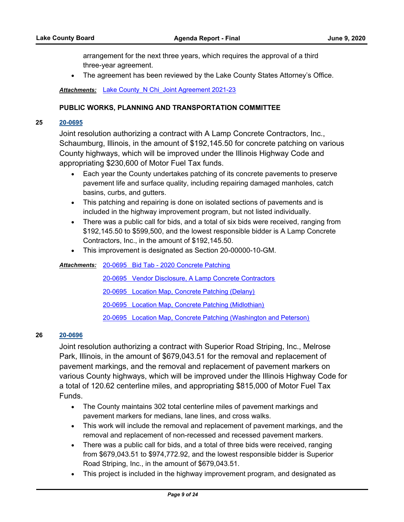arrangement for the next three years, which requires the approval of a third three-year agreement.

The agreement has been reviewed by the Lake County States Attorney's Office.

Attachments: Lake County N Chi Joint Agreement 2021-23

## **PUBLIC WORKS, PLANNING AND TRANSPORTATION COMMITTEE**

## **25 [20-0695](http://lakecounty.legistar.com/gateway.aspx?m=l&id=/matter.aspx?key=19702)**

Joint resolution authorizing a contract with A Lamp Concrete Contractors, Inc., Schaumburg, Illinois, in the amount of \$192,145.50 for concrete patching on various County highways, which will be improved under the Illinois Highway Code and appropriating \$230,600 of Motor Fuel Tax funds.

- Each year the County undertakes patching of its concrete pavements to preserve pavement life and surface quality, including repairing damaged manholes, catch basins, curbs, and gutters.
- · This patching and repairing is done on isolated sections of pavements and is included in the highway improvement program, but not listed individually.
- · There was a public call for bids, and a total of six bids were received, ranging from \$192,145.50 to \$599,500, and the lowest responsible bidder is A Lamp Concrete Contractors, Inc., in the amount of \$192,145.50.
- · This improvement is designated as Section 20-00000-10-GM.

Attachments: [20-0695 Bid Tab - 2020 Concrete Patching](http://lakecounty.legistar.com/gateway.aspx?M=F&ID=0fe69662-7b7f-4497-99b7-a200af6eeb35.pdf)

[20-0695 Vendor Disclosure, A Lamp Concrete Contractors](http://lakecounty.legistar.com/gateway.aspx?M=F&ID=d62d8120-4993-44f8-85d9-efd5d84a30ee.pdf)

[20-0695 Location Map, Concrete Patching \(Delany\)](http://lakecounty.legistar.com/gateway.aspx?M=F&ID=f60fcb36-45d4-4f0d-9436-d68fefdf745d.pdf)

[20-0695 Location Map, Concrete Patching \(Midlothian\)](http://lakecounty.legistar.com/gateway.aspx?M=F&ID=18a87905-cc0d-48e4-9e5a-dc305b8b88e5.pdf)

[20-0695 Location Map, Concrete Patching \(Washington and Peterson\)](http://lakecounty.legistar.com/gateway.aspx?M=F&ID=95fa93f1-5a30-48df-be0f-89b50c3a11ea.pdf)

# **26 [20-0696](http://lakecounty.legistar.com/gateway.aspx?m=l&id=/matter.aspx?key=19703)**

Joint resolution authorizing a contract with Superior Road Striping, Inc., Melrose Park, Illinois, in the amount of \$679,043.51 for the removal and replacement of pavement markings, and the removal and replacement of pavement markers on various County highways, which will be improved under the Illinois Highway Code for a total of 120.62 centerline miles, and appropriating \$815,000 of Motor Fuel Tax Funds.

- · The County maintains 302 total centerline miles of pavement markings and pavement markers for medians, lane lines, and cross walks.
- · This work will include the removal and replacement of pavement markings, and the removal and replacement of non-recessed and recessed pavement markers.
- · There was a public call for bids, and a total of three bids were received, ranging from \$679,043.51 to \$974,772.92, and the lowest responsible bidder is Superior Road Striping, Inc., in the amount of \$679,043.51.
- · This project is included in the highway improvement program, and designated as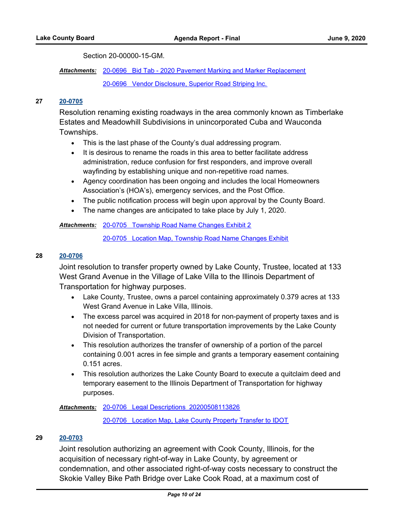Section 20-00000-15-GM.

Attachments: [20-0696 Bid Tab - 2020 Pavement Marking and Marker Replacement](http://lakecounty.legistar.com/gateway.aspx?M=F&ID=db6c29f4-0a4f-48a4-9f97-eb1aae199d57.pdf) [20-0696 Vendor Disclosure, Superior Road Striping Inc.](http://lakecounty.legistar.com/gateway.aspx?M=F&ID=05b34f29-7412-47e2-b781-f9dec457a639.pdf)

# **27 [20-0705](http://lakecounty.legistar.com/gateway.aspx?m=l&id=/matter.aspx?key=19712)**

Resolution renaming existing roadways in the area commonly known as Timberlake Estates and Meadowhill Subdivisions in unincorporated Cuba and Wauconda Townships.

- · This is the last phase of the County's dual addressing program.
- · It is desirous to rename the roads in this area to better facilitate address administration, reduce confusion for first responders, and improve overall wayfinding by establishing unique and non-repetitive road names.
- · Agency coordination has been ongoing and includes the local Homeowners Association's (HOA's), emergency services, and the Post Office.
- · The public notification process will begin upon approval by the County Board.
- · The name changes are anticipated to take place by July 1, 2020.

## [20-0705 Township Road Name Changes Exhibit 2](http://lakecounty.legistar.com/gateway.aspx?M=F&ID=39febadb-e49a-4df5-9f4d-561d7686da54.pdf) *Attachments:*

[20-0705 Location Map, Township Road Name Changes Exhibit](http://lakecounty.legistar.com/gateway.aspx?M=F&ID=82941d36-3729-48e5-82ec-57416569a4e4.pdf)

## **28 [20-0706](http://lakecounty.legistar.com/gateway.aspx?m=l&id=/matter.aspx?key=19713)**

Joint resolution to transfer property owned by Lake County, Trustee, located at 133 West Grand Avenue in the Village of Lake Villa to the Illinois Department of Transportation for highway purposes.

- · Lake County, Trustee, owns a parcel containing approximately 0.379 acres at 133 West Grand Avenue in Lake Villa, Illinois.
- · The excess parcel was acquired in 2018 for non-payment of property taxes and is not needed for current or future transportation improvements by the Lake County Division of Transportation.
- · This resolution authorizes the transfer of ownership of a portion of the parcel containing 0.001 acres in fee simple and grants a temporary easement containing 0.151 acres.
- · This resolution authorizes the Lake County Board to execute a quitclaim deed and temporary easement to the Illinois Department of Transportation for highway purposes.

[20-0706 Legal Descriptions\\_20200508113826](http://lakecounty.legistar.com/gateway.aspx?M=F&ID=107f0d22-f5cf-4ae8-8f38-f9ede6bacaf6.pdf) *Attachments:*

[20-0706 Location Map, Lake County Property Transfer to IDOT](http://lakecounty.legistar.com/gateway.aspx?M=F&ID=b8bab496-2713-4660-935f-0a34c36ab86d.pdf)

## **29 [20-0703](http://lakecounty.legistar.com/gateway.aspx?m=l&id=/matter.aspx?key=19710)**

Joint resolution authorizing an agreement with Cook County, Illinois, for the acquisition of necessary right-of-way in Lake County, by agreement or condemnation, and other associated right-of-way costs necessary to construct the Skokie Valley Bike Path Bridge over Lake Cook Road, at a maximum cost of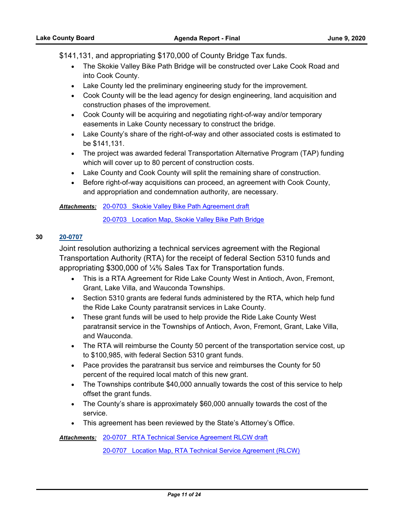\$141,131, and appropriating \$170,000 of County Bridge Tax funds.

- · The Skokie Valley Bike Path Bridge will be constructed over Lake Cook Road and into Cook County.
- · Lake County led the preliminary engineering study for the improvement.
- · Cook County will be the lead agency for design engineering, land acquisition and construction phases of the improvement.
- · Cook County will be acquiring and negotiating right-of-way and/or temporary easements in Lake County necessary to construct the bridge.
- · Lake County's share of the right-of-way and other associated costs is estimated to be \$141,131.
- · The project was awarded federal Transportation Alternative Program (TAP) funding which will cover up to 80 percent of construction costs.
- · Lake County and Cook County will split the remaining share of construction.
- · Before right-of-way acquisitions can proceed, an agreement with Cook County, and appropriation and condemnation authority, are necessary.

Attachments: [20-0703 Skokie Valley Bike Path Agreement draft](http://lakecounty.legistar.com/gateway.aspx?M=F&ID=606cbcb9-bd50-43e8-9d26-352fe8be2d53.pdf)

[20-0703 Location Map, Skokie Valley Bike Path Bridge](http://lakecounty.legistar.com/gateway.aspx?M=F&ID=19b763a1-f289-45a7-b412-a0a919830b50.pdf)

## **30 [20-0707](http://lakecounty.legistar.com/gateway.aspx?m=l&id=/matter.aspx?key=19714)**

Joint resolution authorizing a technical services agreement with the Regional Transportation Authority (RTA) for the receipt of federal Section 5310 funds and appropriating \$300,000 of ¼% Sales Tax for Transportation funds.

- · This is a RTA Agreement for Ride Lake County West in Antioch, Avon, Fremont, Grant, Lake Villa, and Wauconda Townships.
- · Section 5310 grants are federal funds administered by the RTA, which help fund the Ride Lake County paratransit services in Lake County.
- · These grant funds will be used to help provide the Ride Lake County West paratransit service in the Townships of Antioch, Avon, Fremont, Grant, Lake Villa, and Wauconda.
- The RTA will reimburse the County 50 percent of the transportation service cost, up to \$100,985, with federal Section 5310 grant funds.
- · Pace provides the paratransit bus service and reimburses the County for 50 percent of the required local match of this new grant.
- · The Townships contribute \$40,000 annually towards the cost of this service to help offset the grant funds.
- · The County's share is approximately \$60,000 annually towards the cost of the service.
- · This agreement has been reviewed by the State's Attorney's Office.

[20-0707 RTA Technical Service Agreement RLCW draft](http://lakecounty.legistar.com/gateway.aspx?M=F&ID=f3b88b73-c477-43ba-94b6-da6cc0512405.pdf) *Attachments:*

[20-0707 Location Map, RTA Technical Service Agreement \(RLCW\)](http://lakecounty.legistar.com/gateway.aspx?M=F&ID=b1753b00-8ec7-4cd9-a9f3-3f4ecae87617.pdf)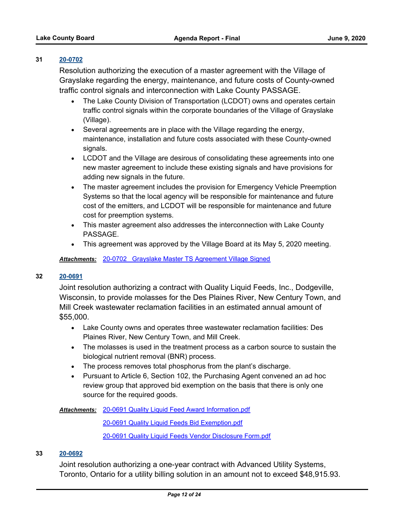## **31 [20-0702](http://lakecounty.legistar.com/gateway.aspx?m=l&id=/matter.aspx?key=19709)**

Resolution authorizing the execution of a master agreement with the Village of Grayslake regarding the energy, maintenance, and future costs of County-owned traffic control signals and interconnection with Lake County PASSAGE.

- · The Lake County Division of Transportation (LCDOT) owns and operates certain traffic control signals within the corporate boundaries of the Village of Grayslake (Village).
- · Several agreements are in place with the Village regarding the energy, maintenance, installation and future costs associated with these County-owned signals.
- · LCDOT and the Village are desirous of consolidating these agreements into one new master agreement to include these existing signals and have provisions for adding new signals in the future.
- · The master agreement includes the provision for Emergency Vehicle Preemption Systems so that the local agency will be responsible for maintenance and future cost of the emitters, and LCDOT will be responsible for maintenance and future cost for preemption systems.
- · This master agreement also addresses the interconnection with Lake County PASSAGE.
- · This agreement was approved by the Village Board at its May 5, 2020 meeting.

*Attachments:* [20-0702 Grayslake Master TS Agreement Village Signed](http://lakecounty.legistar.com/gateway.aspx?M=F&ID=fcba824c-ad20-474a-93fc-197b4c756fbb.pdf)

# **32 [20-0691](http://lakecounty.legistar.com/gateway.aspx?m=l&id=/matter.aspx?key=19698)**

Joint resolution authorizing a contract with Quality Liquid Feeds, Inc., Dodgeville, Wisconsin, to provide molasses for the Des Plaines River, New Century Town, and Mill Creek wastewater reclamation facilities in an estimated annual amount of \$55,000.

- · Lake County owns and operates three wastewater reclamation facilities: Des Plaines River, New Century Town, and Mill Creek.
- · The molasses is used in the treatment process as a carbon source to sustain the biological nutrient removal (BNR) process.
- · The process removes total phosphorus from the plant's discharge.
- · Pursuant to Article 6, Section 102, the Purchasing Agent convened an ad hoc review group that approved bid exemption on the basis that there is only one source for the required goods.

Attachments: [20-0691 Quality Liquid Feed Award Information.pdf](http://lakecounty.legistar.com/gateway.aspx?M=F&ID=290f2bca-66fe-4951-81b1-816e0c98a389.pdf)

[20-0691 Quality Liquid Feeds Bid Exemption.pdf](http://lakecounty.legistar.com/gateway.aspx?M=F&ID=561fda50-5976-4e1c-8539-b6436960ffd5.pdf) [20-0691 Quality Liquid Feeds Vendor Disclosure Form.pdf](http://lakecounty.legistar.com/gateway.aspx?M=F&ID=a276c561-8406-421b-ba51-aea2d9579b72.pdf)

## **33 [20-0692](http://lakecounty.legistar.com/gateway.aspx?m=l&id=/matter.aspx?key=19699)**

Joint resolution authorizing a one-year contract with Advanced Utility Systems, Toronto, Ontario for a utility billing solution in an amount not to exceed \$48,915.93.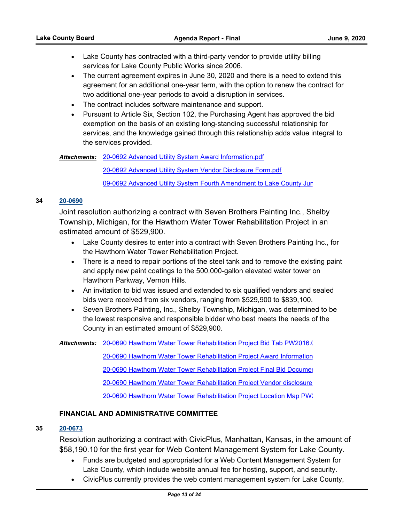- Lake County has contracted with a third-party vendor to provide utility billing services for Lake County Public Works since 2006.
- · The current agreement expires in June 30, 2020 and there is a need to extend this agreement for an additional one-year term, with the option to renew the contract for two additional one-year periods to avoid a disruption in services.
- · The contract includes software maintenance and support.
- · Pursuant to Article Six, Section 102, the Purchasing Agent has approved the bid exemption on the basis of an existing long-standing successful relationship for services, and the knowledge gained through this relationship adds value integral to the services provided.

Attachments: [20-0692 Advanced Utility System Award Information.pdf](http://lakecounty.legistar.com/gateway.aspx?M=F&ID=c727e40c-0853-40df-a218-b59d15150cdf.pdf)

[20-0692 Advanced Utility System Vendor Disclosure Form.pdf](http://lakecounty.legistar.com/gateway.aspx?M=F&ID=4321b32d-eb23-4fea-a705-e6275217c2ab.pdf)

[09-0692 Advanced Utility System Fourth Amendment to Lake County Jun](http://lakecounty.legistar.com/gateway.aspx?M=F&ID=549662f7-410d-40bc-ae5d-fbc59ecf3947.pdf)

# **34 [20-0690](http://lakecounty.legistar.com/gateway.aspx?m=l&id=/matter.aspx?key=19697)**

Joint resolution authorizing a contract with Seven Brothers Painting Inc., Shelby Township, Michigan, for the Hawthorn Water Tower Rehabilitation Project in an estimated amount of \$529,900.

- · Lake County desires to enter into a contract with Seven Brothers Painting Inc., for the Hawthorn Water Tower Rehabilitation Project.
- There is a need to repair portions of the steel tank and to remove the existing paint and apply new paint coatings to the 500,000-gallon elevated water tower on Hawthorn Parkway, Vernon Hills.
- · An invitation to bid was issued and extended to six qualified vendors and sealed bids were received from six vendors, ranging from \$529,900 to \$839,100.
- · Seven Brothers Painting, Inc., Shelby Township, Michigan, was determined to be the lowest responsive and responsible bidder who best meets the needs of the County in an estimated amount of \$529,900.

Attachments: 20-0690 Hawthorn Water Tower Rehabilitation Project Bid Tab PW2016.(

[20-0690 Hawthorn Water Tower Rehabilitation Project Award Information](http://lakecounty.legistar.com/gateway.aspx?M=F&ID=25c56657-49d1-4747-94cd-6d974b932951.pdf) [20-0690 Hawthorn Water Tower Rehabilitation Project Final Bid Documen](http://lakecounty.legistar.com/gateway.aspx?M=F&ID=0e0212f9-5fb2-4056-ad7f-9d2c29cd0c31.pdf)t 20-0690 Hawthorn Water Tower Rehabilitation Project Vendor disclosure 20-0690 Hawthorn Water Tower Rehabilitation Project Location Map PW;

# **FINANCIAL AND ADMINISTRATIVE COMMITTEE**

# **35 [20-0673](http://lakecounty.legistar.com/gateway.aspx?m=l&id=/matter.aspx?key=19680)**

Resolution authorizing a contract with CivicPlus, Manhattan, Kansas, in the amount of \$58,190.10 for the first year for Web Content Management System for Lake County.

- · Funds are budgeted and appropriated for a Web Content Management System for Lake County, which include website annual fee for hosting, support, and security.
- · CivicPlus currently provides the web content management system for Lake County,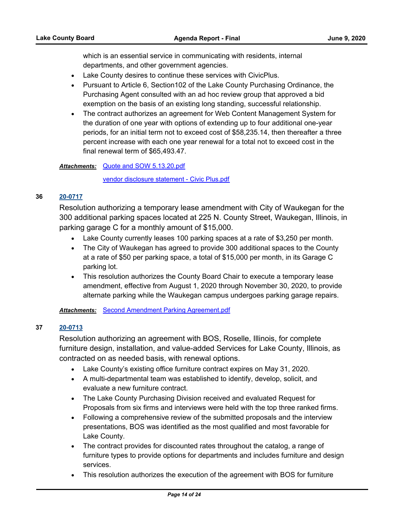which is an essential service in communicating with residents, internal departments, and other government agencies.

- · Lake County desires to continue these services with CivicPlus.
- · Pursuant to Article 6, Section102 of the Lake County Purchasing Ordinance, the Purchasing Agent consulted with an ad hoc review group that approved a bid exemption on the basis of an existing long standing, successful relationship.
- · The contract authorizes an agreement for Web Content Management System for the duration of one year with options of extending up to four additional one-year periods, for an initial term not to exceed cost of \$58,235.14, then thereafter a three percent increase with each one year renewal for a total not to exceed cost in the final renewal term of \$65,493.47.

## Attachments: [Quote and SOW 5.13.20.pdf](http://lakecounty.legistar.com/gateway.aspx?M=F&ID=0ae10f32-0caa-47f1-be9c-c9c606232b9a.pdf)

[vendor disclosure statement - Civic Plus.pdf](http://lakecounty.legistar.com/gateway.aspx?M=F&ID=0f8dc3aa-689d-474f-a9cc-a26376fb7613.pdf)

## **36 [20-0717](http://lakecounty.legistar.com/gateway.aspx?m=l&id=/matter.aspx?key=19725)**

Resolution authorizing a temporary lease amendment with City of Waukegan for the 300 additional parking spaces located at 225 N. County Street, Waukegan, Illinois, in parking garage C for a monthly amount of \$15,000.

- · Lake County currently leases 100 parking spaces at a rate of \$3,250 per month.
- · The City of Waukegan has agreed to provide 300 additional spaces to the County at a rate of \$50 per parking space, a total of \$15,000 per month, in its Garage C parking lot.
- · This resolution authorizes the County Board Chair to execute a temporary lease amendment, effective from August 1, 2020 through November 30, 2020, to provide alternate parking while the Waukegan campus undergoes parking garage repairs.

*Attachments:* [Second Amendment Parking Agreement.pdf](http://lakecounty.legistar.com/gateway.aspx?M=F&ID=f002b591-03dd-4f10-97a9-33151faf4f2f.pdf)

# **37 [20-0713](http://lakecounty.legistar.com/gateway.aspx?m=l&id=/matter.aspx?key=19721)**

Resolution authorizing an agreement with BOS, Roselle, Illinois, for complete furniture design, installation, and value-added Services for Lake County, Illinois, as contracted on as needed basis, with renewal options.

- · Lake County's existing office furniture contract expires on May 31, 2020.
- · A multi-departmental team was established to identify, develop, solicit, and evaluate a new furniture contract.
- · The Lake County Purchasing Division received and evaluated Request for Proposals from six firms and interviews were held with the top three ranked firms.
- · Following a comprehensive review of the submitted proposals and the interview presentations, BOS was identified as the most qualified and most favorable for Lake County.
- · The contract provides for discounted rates throughout the catalog, a range of furniture types to provide options for departments and includes furniture and design services.
- · This resolution authorizes the execution of the agreement with BOS for furniture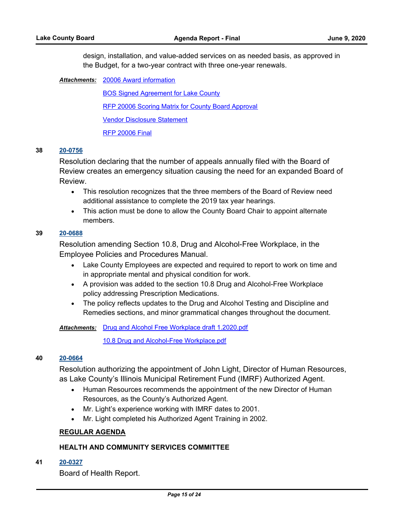design, installation, and value-added services on as needed basis, as approved in the Budget, for a two-year contract with three one-year renewals.

[20006 Award information](http://lakecounty.legistar.com/gateway.aspx?M=F&ID=b86a38b5-d6cb-43e1-a0e4-0cad0da781ab.pdf) *Attachments:*

[BOS Signed Agreement for Lake County](http://lakecounty.legistar.com/gateway.aspx?M=F&ID=052c3b26-eb00-4267-8224-087cf246e334.pdf) [RFP 20006 Scoring Matrix for County Board Approval](http://lakecounty.legistar.com/gateway.aspx?M=F&ID=73ccd783-23aa-49e1-a03a-2de2c4d8c7cc.pdf) [Vendor Disclosure Statement](http://lakecounty.legistar.com/gateway.aspx?M=F&ID=acdbb750-413d-4c0f-8ebc-fafeb6addba8.pdf) [RFP 20006 Final](http://lakecounty.legistar.com/gateway.aspx?M=F&ID=666eff5f-4ca6-4f0e-82fd-a04c181901e1.pdf)

#### **38 [20-0756](http://lakecounty.legistar.com/gateway.aspx?m=l&id=/matter.aspx?key=19765)**

Resolution declaring that the number of appeals annually filed with the Board of Review creates an emergency situation causing the need for an expanded Board of Review.

- · This resolution recognizes that the three members of the Board of Review need additional assistance to complete the 2019 tax year hearings.
- · This action must be done to allow the County Board Chair to appoint alternate members.

## **39 [20-0688](http://lakecounty.legistar.com/gateway.aspx?m=l&id=/matter.aspx?key=19695)**

Resolution amending Section 10.8, Drug and Alcohol-Free Workplace, in the Employee Policies and Procedures Manual.

- · Lake County Employees are expected and required to report to work on time and in appropriate mental and physical condition for work.
- · A provision was added to the section 10.8 Drug and Alcohol-Free Workplace policy addressing Prescription Medications.
- · The policy reflects updates to the Drug and Alcohol Testing and Discipline and Remedies sections, and minor grammatical changes throughout the document.

Attachments: [Drug and Alcohol Free Workplace draft 1.2020.pdf](http://lakecounty.legistar.com/gateway.aspx?M=F&ID=04ac1f91-e208-4cda-b5a8-21f24f22d10d.pdf)

[10.8 Drug and Alcohol-Free Workplace.pdf](http://lakecounty.legistar.com/gateway.aspx?M=F&ID=0244a10e-755d-474f-9ffc-8aaef21a5134.pdf)

## **40 [20-0664](http://lakecounty.legistar.com/gateway.aspx?m=l&id=/matter.aspx?key=19673)**

Resolution authorizing the appointment of John Light, Director of Human Resources, as Lake County's Illinois Municipal Retirement Fund (IMRF) Authorized Agent.

- · Human Resources recommends the appointment of the new Director of Human Resources, as the County's Authorized Agent.
- · Mr. Light's experience working with IMRF dates to 2001.
- · Mr. Light completed his Authorized Agent Training in 2002.

#### **REGULAR AGENDA**

## **HEALTH AND COMMUNITY SERVICES COMMITTEE**

**41 [20-0327](http://lakecounty.legistar.com/gateway.aspx?m=l&id=/matter.aspx?key=19329)**

Board of Health Report.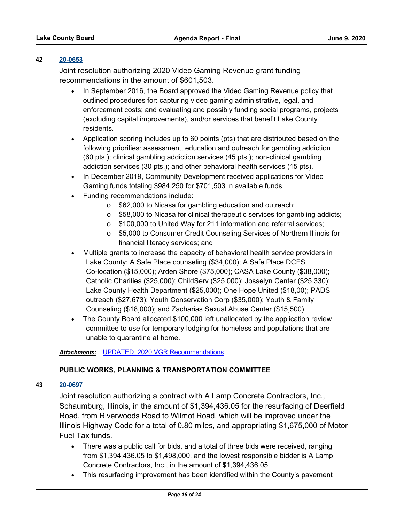# **42 [20-0653](http://lakecounty.legistar.com/gateway.aspx?m=l&id=/matter.aspx?key=19662)**

Joint resolution authorizing 2020 Video Gaming Revenue grant funding recommendations in the amount of \$601,503.

- · In September 2016, the Board approved the Video Gaming Revenue policy that outlined procedures for: capturing video gaming administrative, legal, and enforcement costs; and evaluating and possibly funding social programs, projects (excluding capital improvements), and/or services that benefit Lake County residents.
- · Application scoring includes up to 60 points (pts) that are distributed based on the following priorities: assessment, education and outreach for gambling addiction (60 pts.); clinical gambling addiction services (45 pts.); non-clinical gambling addiction services (30 pts.); and other behavioral health services (15 pts).
- · In December 2019, Community Development received applications for Video Gaming funds totaling \$984,250 for \$701,503 in available funds.
- · Funding recommendations include:
	- o \$62,000 to Nicasa for gambling education and outreach;
	- o \$58,000 to Nicasa for clinical therapeutic services for gambling addicts;
	- o \$100,000 to United Way for 211 information and referral services;
	- o \$5,000 to Consumer Credit Counseling Services of Northern Illinois for financial literacy services; and
- · Multiple grants to increase the capacity of behavioral health service providers in Lake County: A Safe Place counseling (\$34,000); A Safe Place DCFS Co-location (\$15,000); Arden Shore (\$75,000); CASA Lake County (\$38,000); Catholic Charities (\$25,000); ChildServ (\$25,000); Josselyn Center (\$25,330); Lake County Health Department (\$25,000); One Hope United (\$18,00); PADS outreach (\$27,673); Youth Conservation Corp (\$35,000); Youth & Family Counseling (\$18,000); and Zacharias Sexual Abuse Center (\$15,500)
- · The County Board allocated \$100,000 left unallocated by the application review committee to use for temporary lodging for homeless and populations that are unable to quarantine at home.

## *Attachments:* [UPDATED\\_2020 VGR Recommendations](http://lakecounty.legistar.com/gateway.aspx?M=F&ID=051944d2-d2a4-4ed1-b18e-29a7e884a31a.pdf)

# **PUBLIC WORKS, PLANNING & TRANSPORTATION COMMITTEE**

## **43 [20-0697](http://lakecounty.legistar.com/gateway.aspx?m=l&id=/matter.aspx?key=19704)**

Joint resolution authorizing a contract with A Lamp Concrete Contractors, Inc., Schaumburg, Illinois, in the amount of \$1,394,436.05 for the resurfacing of Deerfield Road, from Riverwoods Road to Wilmot Road, which will be improved under the Illinois Highway Code for a total of 0.80 miles, and appropriating \$1,675,000 of Motor Fuel Tax funds.

- · There was a public call for bids, and a total of three bids were received, ranging from \$1,394,436.05 to \$1,498,000, and the lowest responsible bidder is A Lamp Concrete Contractors, Inc., in the amount of \$1,394,436.05.
- · This resurfacing improvement has been identified within the County's pavement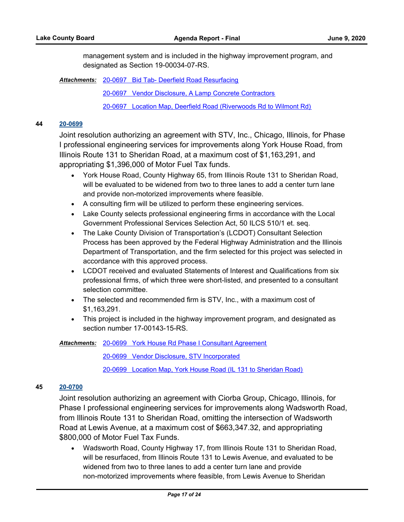management system and is included in the highway improvement program, and designated as Section 19-00034-07-RS.

Attachments: [20-0697 Bid Tab- Deerfield Road Resurfacing](http://lakecounty.legistar.com/gateway.aspx?M=F&ID=2e878c1e-b394-46d5-8fff-ccbe62421d04.pdf)

[20-0697 Vendor Disclosure, A Lamp Concrete Contractors](http://lakecounty.legistar.com/gateway.aspx?M=F&ID=204330b6-ac38-4aeb-832a-0c61fdeb5984.pdf)

[20-0697 Location Map, Deerfield Road \(Riverwoods Rd to Wilmont Rd\)](http://lakecounty.legistar.com/gateway.aspx?M=F&ID=73b6a929-2e7e-4764-856a-07a0f8ae682a.pdf)

## **44 [20-0699](http://lakecounty.legistar.com/gateway.aspx?m=l&id=/matter.aspx?key=19706)**

Joint resolution authorizing an agreement with STV, Inc., Chicago, Illinois, for Phase I professional engineering services for improvements along York House Road, from Illinois Route 131 to Sheridan Road, at a maximum cost of \$1,163,291, and appropriating \$1,396,000 of Motor Fuel Tax funds.

- · York House Road, County Highway 65, from Illinois Route 131 to Sheridan Road, will be evaluated to be widened from two to three lanes to add a center turn lane and provide non-motorized improvements where feasible.
- · A consulting firm will be utilized to perform these engineering services.
- · Lake County selects professional engineering firms in accordance with the Local Government Professional Services Selection Act, 50 ILCS 510/1 et. seq.
- · The Lake County Division of Transportation's (LCDOT) Consultant Selection Process has been approved by the Federal Highway Administration and the Illinois Department of Transportation, and the firm selected for this project was selected in accordance with this approved process.
- · LCDOT received and evaluated Statements of Interest and Qualifications from six professional firms, of which three were short-listed, and presented to a consultant selection committee.
- · The selected and recommended firm is STV, Inc., with a maximum cost of \$1,163,291.
- · This project is included in the highway improvement program, and designated as section number 17-00143-15-RS.

Attachments: [20-0699 York House Rd Phase I Consultant Agreement](http://lakecounty.legistar.com/gateway.aspx?M=F&ID=138d5340-6696-4cf1-9ae7-89153e30ede9.pdf)

[20-0699 Vendor Disclosure, STV Incorporated](http://lakecounty.legistar.com/gateway.aspx?M=F&ID=6e4e4ccb-b1d9-4ce2-b4ef-3896f3697670.pdf)

[20-0699 Location Map, York House Road \(IL 131 to Sheridan Road\)](http://lakecounty.legistar.com/gateway.aspx?M=F&ID=1037e69a-04ee-4f24-a99b-828fbc709a56.pdf)

#### **45 [20-0700](http://lakecounty.legistar.com/gateway.aspx?m=l&id=/matter.aspx?key=19707)**

Joint resolution authorizing an agreement with Ciorba Group, Chicago, Illinois, for Phase I professional engineering services for improvements along Wadsworth Road, from Illinois Route 131 to Sheridan Road, omitting the intersection of Wadsworth Road at Lewis Avenue, at a maximum cost of \$663,347.32, and appropriating \$800,000 of Motor Fuel Tax Funds.

· Wadsworth Road, County Highway 17, from Illinois Route 131 to Sheridan Road, will be resurfaced, from Illinois Route 131 to Lewis Avenue, and evaluated to be widened from two to three lanes to add a center turn lane and provide non-motorized improvements where feasible, from Lewis Avenue to Sheridan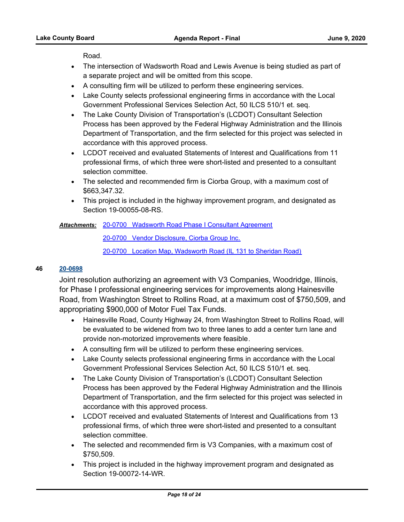Road.

- · The intersection of Wadsworth Road and Lewis Avenue is being studied as part of a separate project and will be omitted from this scope.
- · A consulting firm will be utilized to perform these engineering services.
- · Lake County selects professional engineering firms in accordance with the Local Government Professional Services Selection Act, 50 ILCS 510/1 et. seq.
- · The Lake County Division of Transportation's (LCDOT) Consultant Selection Process has been approved by the Federal Highway Administration and the Illinois Department of Transportation, and the firm selected for this project was selected in accordance with this approved process.
- · LCDOT received and evaluated Statements of Interest and Qualifications from 11 professional firms, of which three were short-listed and presented to a consultant selection committee.
- · The selected and recommended firm is Ciorba Group, with a maximum cost of \$663,347.32.
- · This project is included in the highway improvement program, and designated as Section 19-00055-08-RS.

## [20-0700 Wadsworth Road Phase I Consultant Agreement](http://lakecounty.legistar.com/gateway.aspx?M=F&ID=1fb9cad5-a9fc-425a-b132-b2396e0be322.pdf) *Attachments:*

[20-0700 Vendor Disclosure, Ciorba Group Inc.](http://lakecounty.legistar.com/gateway.aspx?M=F&ID=a24cbda4-7bac-4410-b7a0-a4eb97322cdb.pdf)

[20-0700 Location Map, Wadsworth Road \(IL 131 to Sheridan Road\)](http://lakecounty.legistar.com/gateway.aspx?M=F&ID=0a470153-418c-4ab6-9c8a-696bb5135294.pdf)

# **46 [20-0698](http://lakecounty.legistar.com/gateway.aspx?m=l&id=/matter.aspx?key=19705)**

Joint resolution authorizing an agreement with V3 Companies, Woodridge, Illinois, for Phase I professional engineering services for improvements along Hainesville Road, from Washington Street to Rollins Road, at a maximum cost of \$750,509, and appropriating \$900,000 of Motor Fuel Tax Funds.

- · Hainesville Road, County Highway 24, from Washington Street to Rollins Road, will be evaluated to be widened from two to three lanes to add a center turn lane and provide non-motorized improvements where feasible.
- · A consulting firm will be utilized to perform these engineering services.
- · Lake County selects professional engineering firms in accordance with the Local Government Professional Services Selection Act, 50 ILCS 510/1 et. seq.
- · The Lake County Division of Transportation's (LCDOT) Consultant Selection Process has been approved by the Federal Highway Administration and the Illinois Department of Transportation, and the firm selected for this project was selected in accordance with this approved process.
- · LCDOT received and evaluated Statements of Interest and Qualifications from 13 professional firms, of which three were short-listed and presented to a consultant selection committee.
- · The selected and recommended firm is V3 Companies, with a maximum cost of \$750,509.
- · This project is included in the highway improvement program and designated as Section 19-00072-14-WR.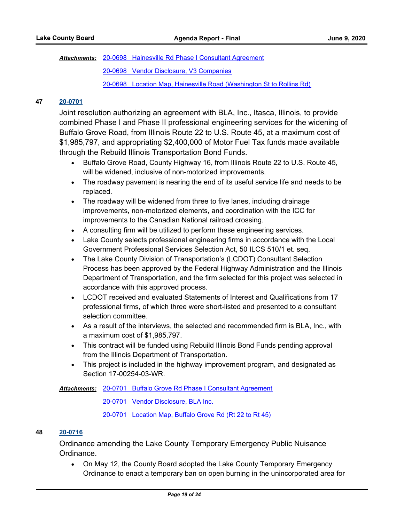[20-0698 Hainesville Rd Phase I Consultant Agreement](http://lakecounty.legistar.com/gateway.aspx?M=F&ID=30928fa7-fb6d-4307-af82-2d4b41848279.pdf) *Attachments:*

[20-0698 Vendor Disclosure, V3 Companies](http://lakecounty.legistar.com/gateway.aspx?M=F&ID=d4d7bcf4-5286-4296-a87e-10524eda96c6.pdf)

[20-0698 Location Map, Hainesville Road \(Washington St to Rollins Rd\)](http://lakecounty.legistar.com/gateway.aspx?M=F&ID=64af5d81-ea08-4ad0-9ba7-6edb4a2f644b.pdf)

# **47 [20-0701](http://lakecounty.legistar.com/gateway.aspx?m=l&id=/matter.aspx?key=19708)**

Joint resolution authorizing an agreement with BLA, Inc., Itasca, Illinois, to provide combined Phase I and Phase II professional engineering services for the widening of Buffalo Grove Road, from Illinois Route 22 to U.S. Route 45, at a maximum cost of \$1,985,797, and appropriating \$2,400,000 of Motor Fuel Tax funds made available through the Rebuild Illinois Transportation Bond Funds.

- · Buffalo Grove Road, County Highway 16, from Illinois Route 22 to U.S. Route 45, will be widened, inclusive of non-motorized improvements.
- · The roadway pavement is nearing the end of its useful service life and needs to be replaced.
- · The roadway will be widened from three to five lanes, including drainage improvements, non-motorized elements, and coordination with the ICC for improvements to the Canadian National railroad crossing.
- · A consulting firm will be utilized to perform these engineering services.
- · Lake County selects professional engineering firms in accordance with the Local Government Professional Services Selection Act, 50 ILCS 510/1 et. seq.
- · The Lake County Division of Transportation's (LCDOT) Consultant Selection Process has been approved by the Federal Highway Administration and the Illinois Department of Transportation, and the firm selected for this project was selected in accordance with this approved process.
- · LCDOT received and evaluated Statements of Interest and Qualifications from 17 professional firms, of which three were short-listed and presented to a consultant selection committee.
- · As a result of the interviews, the selected and recommended firm is BLA, Inc., with a maximum cost of \$1,985,797.
- · This contract will be funded using Rebuild Illinois Bond Funds pending approval from the Illinois Department of Transportation.
- · This project is included in the highway improvement program, and designated as Section 17-00254-03-WR.

[20-0701 Buffalo Grove Rd Phase I Consultant Agreement](http://lakecounty.legistar.com/gateway.aspx?M=F&ID=a1033f04-1695-480b-9721-e75eb3619871.pdf) *Attachments:*

[20-0701 Vendor Disclosure, BLA Inc.](http://lakecounty.legistar.com/gateway.aspx?M=F&ID=e04b677b-c6bd-4964-b28f-cb0bc9679dcc.pdf)

[20-0701 Location Map, Buffalo Grove Rd \(Rt 22 to Rt 45\)](http://lakecounty.legistar.com/gateway.aspx?M=F&ID=dca4e174-6413-4c55-bedc-cee35f4b581d.pdf)

## **48 [20-0716](http://lakecounty.legistar.com/gateway.aspx?m=l&id=/matter.aspx?key=19722)**

Ordinance amending the Lake County Temporary Emergency Public Nuisance Ordinance.

· On May 12, the County Board adopted the Lake County Temporary Emergency Ordinance to enact a temporary ban on open burning in the unincorporated area for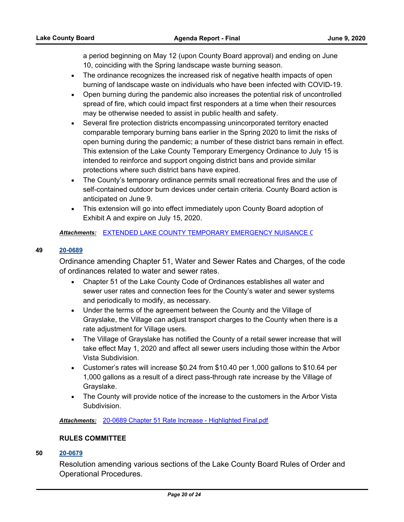a period beginning on May 12 (upon County Board approval) and ending on June 10, coinciding with the Spring landscape waste burning season.

- · The ordinance recognizes the increased risk of negative health impacts of open burning of landscape waste on individuals who have been infected with COVID-19.
- · Open burning during the pandemic also increases the potential risk of uncontrolled spread of fire, which could impact first responders at a time when their resources may be otherwise needed to assist in public health and safety.
- · Several fire protection districts encompassing unincorporated territory enacted comparable temporary burning bans earlier in the Spring 2020 to limit the risks of open burning during the pandemic; a number of these district bans remain in effect. This extension of the Lake County Temporary Emergency Ordinance to July 15 is intended to reinforce and support ongoing district bans and provide similar protections where such district bans have expired.
- · The County's temporary ordinance permits small recreational fires and the use of self-contained outdoor burn devices under certain criteria. County Board action is anticipated on June 9.
- · This extension will go into effect immediately upon County Board adoption of Exhibit A and expire on July 15, 2020.

## Attachments: EXTENDED LAKE COUNTY TEMPORARY EMERGENCY NUISANCE (

## **49 [20-0689](http://lakecounty.legistar.com/gateway.aspx?m=l&id=/matter.aspx?key=19696)**

Ordinance amending Chapter 51, Water and Sewer Rates and Charges, of the code of ordinances related to water and sewer rates.

- · Chapter 51 of the Lake County Code of Ordinances establishes all water and sewer user rates and connection fees for the County's water and sewer systems and periodically to modify, as necessary.
- · Under the terms of the agreement between the County and the Village of Grayslake, the Village can adjust transport charges to the County when there is a rate adjustment for Village users.
- · The Village of Grayslake has notified the County of a retail sewer increase that will take effect May 1, 2020 and affect all sewer users including those within the Arbor Vista Subdivision.
- · Customer's rates will increase \$0.24 from \$10.40 per 1,000 gallons to \$10.64 per 1,000 gallons as a result of a direct pass-through rate increase by the Village of Grayslake.
- · The County will provide notice of the increase to the customers in the Arbor Vista Subdivision.

*Attachments:* [20-0689 Chapter 51 Rate Increase - Highlighted Final.pdf](http://lakecounty.legistar.com/gateway.aspx?M=F&ID=41a97435-c96b-477a-8162-919587262655.pdf)

## **RULES COMMITTEE**

## **50 [20-0679](http://lakecounty.legistar.com/gateway.aspx?m=l&id=/matter.aspx?key=19686)**

Resolution amending various sections of the Lake County Board Rules of Order and Operational Procedures.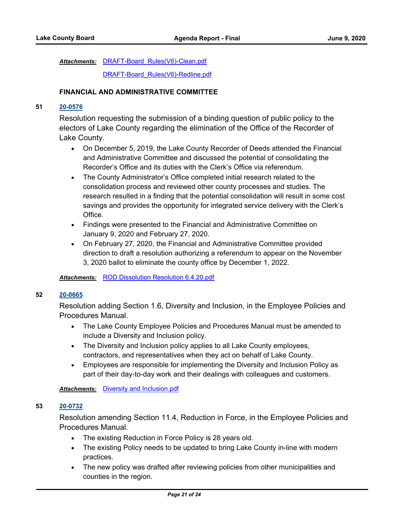Attachments: DRAFT-Board Rules(V6)-Clean.pdf

[DRAFT-Board\\_Rules\(V6\)-Redline.pdf](http://lakecounty.legistar.com/gateway.aspx?M=F&ID=18f99b70-dc23-46ff-ba21-6f45deab0c8e.pdf)

## **FINANCIAL AND ADMINISTRATIVE COMMITTEE**

# **51 [20-0576](http://lakecounty.legistar.com/gateway.aspx?m=l&id=/matter.aspx?key=19586)**

Resolution requesting the submission of a binding question of public policy to the electors of Lake County regarding the elimination of the Office of the Recorder of Lake County.

- · On December 5, 2019, the Lake County Recorder of Deeds attended the Financial and Administrative Committee and discussed the potential of consolidating the Recorder's Office and its duties with the Clerk's Office via referendum.
- · The County Administrator's Office completed initial research related to the consolidation process and reviewed other county processes and studies. The research resulted in a finding that the potential consolidation will result in some cost savings and provides the opportunity for integrated service delivery with the Clerk's Office.
- · Findings were presented to the Financial and Administrative Committee on January 9, 2020 and February 27, 2020.
- · On February 27, 2020, the Financial and Administrative Committee provided direction to draft a resolution authorizing a referendum to appear on the November 3, 2020 ballot to eliminate the county office by December 1, 2022.

*Attachments:* [ROD Dissolution Resolution 6.4.20.pdf](http://lakecounty.legistar.com/gateway.aspx?M=F&ID=d76f7a5d-bd27-45b7-873f-75c776b5647e.pdf)

## **52 [20-0665](http://lakecounty.legistar.com/gateway.aspx?m=l&id=/matter.aspx?key=19674)**

Resolution adding Section 1.6, Diversity and Inclusion, in the Employee Policies and Procedures Manual.

- · The Lake County Employee Policies and Procedures Manual must be amended to include a Diversity and Inclusion policy.
- · The Diversity and Inclusion policy applies to all Lake County employees, contractors, and representatives when they act on behalf of Lake County.
- · Employees are responsible for implementing the Diversity and Inclusion Policy as part of their day-to-day work and their dealings with colleagues and customers.

*Attachments:* [Diversity and Inclusion.pdf](http://lakecounty.legistar.com/gateway.aspx?M=F&ID=3c05ae09-9377-4524-bf1e-faba5d9b11b4.pdf)

# **53 [20-0732](http://lakecounty.legistar.com/gateway.aspx?m=l&id=/matter.aspx?key=19740)**

Resolution amending Section 11.4, Reduction in Force, in the Employee Policies and Procedures Manual.

- · The existing Reduction in Force Policy is 28 years old.
- · The existing Policy needs to be updated to bring Lake County in-line with modern practices.
- · The new policy was drafted after reviewing policies from other municipalities and counties in the region.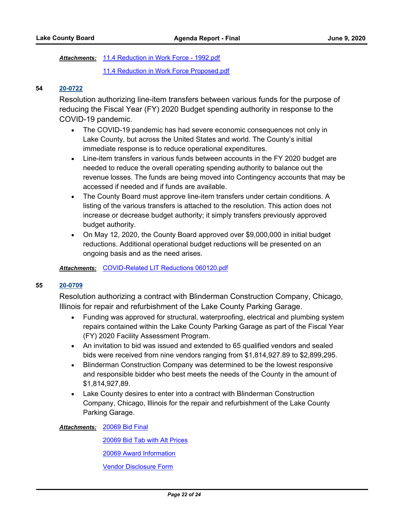Attachments: [11.4 Reduction in Work Force - 1992.pdf](http://lakecounty.legistar.com/gateway.aspx?M=F&ID=226df915-77e0-4ed3-a714-326ba6f911f9.pdf)

[11.4 Reduction in Work Force Proposed.pdf](http://lakecounty.legistar.com/gateway.aspx?M=F&ID=c648382a-8919-49c5-b844-2f17eaed849d.pdf)

## **54 [20-0722](http://lakecounty.legistar.com/gateway.aspx?m=l&id=/matter.aspx?key=19730)**

Resolution authorizing line-item transfers between various funds for the purpose of reducing the Fiscal Year (FY) 2020 Budget spending authority in response to the COVID-19 pandemic.

- · The COVID-19 pandemic has had severe economic consequences not only in Lake County, but across the United States and world. The County's initial immediate response is to reduce operational expenditures.
- · Line-item transfers in various funds between accounts in the FY 2020 budget are needed to reduce the overall operating spending authority to balance out the revenue losses. The funds are being moved into Contingency accounts that may be accessed if needed and if funds are available.
- · The County Board must approve line-item transfers under certain conditions. A listing of the various transfers is attached to the resolution. This action does not increase or decrease budget authority; it simply transfers previously approved budget authority.
- · On May 12, 2020, the County Board approved over \$9,000,000 in initial budget reductions. Additional operational budget reductions will be presented on an ongoing basis and as the need arises.

## *Attachments:* [COVID-Related LIT Reductions 060120.pdf](http://lakecounty.legistar.com/gateway.aspx?M=F&ID=9c4dff80-c287-4564-8cd9-0933f78a58d9.pdf)

## **55 [20-0709](http://lakecounty.legistar.com/gateway.aspx?m=l&id=/matter.aspx?key=19716)**

Resolution authorizing a contract with Blinderman Construction Company, Chicago, Illinois for repair and refurbishment of the Lake County Parking Garage.

- · Funding was approved for structural, waterproofing, electrical and plumbing system repairs contained within the Lake County Parking Garage as part of the Fiscal Year (FY) 2020 Facility Assessment Program.
- · An invitation to bid was issued and extended to 65 qualified vendors and sealed bids were received from nine vendors ranging from \$1,814,927.89 to \$2,899,295.
- · Blinderman Construction Company was determined to be the lowest responsive and responsible bidder who best meets the needs of the County in the amount of \$1,814,927,89.
- · Lake County desires to enter into a contract with Blinderman Construction Company, Chicago, Illinois for the repair and refurbishment of the Lake County Parking Garage.

[20069 Bid Final](http://lakecounty.legistar.com/gateway.aspx?M=F&ID=a92c4a03-c459-4bfd-9de0-dd0e61cac7bc.pdf) *Attachments:*

[20069 Bid Tab with Alt Prices](http://lakecounty.legistar.com/gateway.aspx?M=F&ID=81adafb2-f93b-4d36-a334-bcf0b6c320fb.pdf)

[20069 Award Information](http://lakecounty.legistar.com/gateway.aspx?M=F&ID=be7d913d-e740-464a-8f08-d0610787db65.pdf)

[Vendor Disclosure Form](http://lakecounty.legistar.com/gateway.aspx?M=F&ID=5645c81a-ffc2-4fea-9f83-ccc865dbb695.pdf)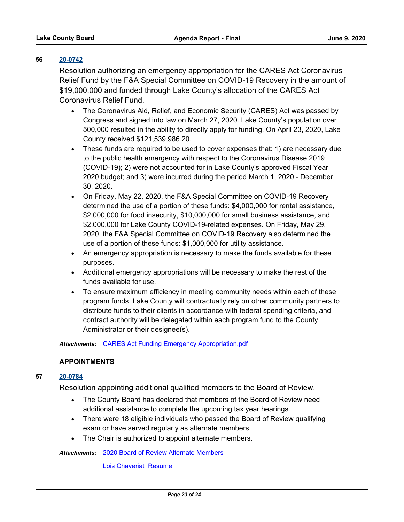## **56 [20-0742](http://lakecounty.legistar.com/gateway.aspx?m=l&id=/matter.aspx?key=19751)**

Resolution authorizing an emergency appropriation for the CARES Act Coronavirus Relief Fund by the F&A Special Committee on COVID-19 Recovery in the amount of \$19,000,000 and funded through Lake County's allocation of the CARES Act Coronavirus Relief Fund.

- · The Coronavirus Aid, Relief, and Economic Security (CARES) Act was passed by Congress and signed into law on March 27, 2020. Lake County's population over 500,000 resulted in the ability to directly apply for funding. On April 23, 2020, Lake County received \$121,539,986.20.
- · These funds are required to be used to cover expenses that: 1) are necessary due to the public health emergency with respect to the Coronavirus Disease 2019 (COVID-19); 2) were not accounted for in Lake County's approved Fiscal Year 2020 budget; and 3) were incurred during the period March 1, 2020 - December 30, 2020.
- · On Friday, May 22, 2020, the F&A Special Committee on COVID-19 Recovery determined the use of a portion of these funds: \$4,000,000 for rental assistance, \$2,000,000 for food insecurity, \$10,000,000 for small business assistance, and \$2,000,000 for Lake County COVID-19-related expenses. On Friday, May 29, 2020, the F&A Special Committee on COVID-19 Recovery also determined the use of a portion of these funds: \$1,000,000 for utility assistance.
- · An emergency appropriation is necessary to make the funds available for these purposes.
- · Additional emergency appropriations will be necessary to make the rest of the funds available for use.
- · To ensure maximum efficiency in meeting community needs within each of these program funds, Lake County will contractually rely on other community partners to distribute funds to their clients in accordance with federal spending criteria, and contract authority will be delegated within each program fund to the County Administrator or their designee(s).

*Attachments:* [CARES Act Funding Emergency Appropriation.pdf](http://lakecounty.legistar.com/gateway.aspx?M=F&ID=e9887fe7-05d9-4809-b0a2-64e0452c1fcf.pdf)

## **APPOINTMENTS**

## **57 [20-0784](http://lakecounty.legistar.com/gateway.aspx?m=l&id=/matter.aspx?key=19794)**

Resolution appointing additional qualified members to the Board of Review.

- · The County Board has declared that members of the Board of Review need additional assistance to complete the upcoming tax year hearings.
- · There were 18 eligible individuals who passed the Board of Review qualifying exam or have served regularly as alternate members.
- · The Chair is authorized to appoint alternate members.

[2020 Board of Review Alternate Members](http://lakecounty.legistar.com/gateway.aspx?M=F&ID=f3be46df-f30f-4f64-8eb8-7b5a7754a147.pdf) *Attachments:*

[Lois Chaveriat Resume](http://lakecounty.legistar.com/gateway.aspx?M=F&ID=2e65559f-8276-483e-b6c8-3f6f65d8d573.pdf)